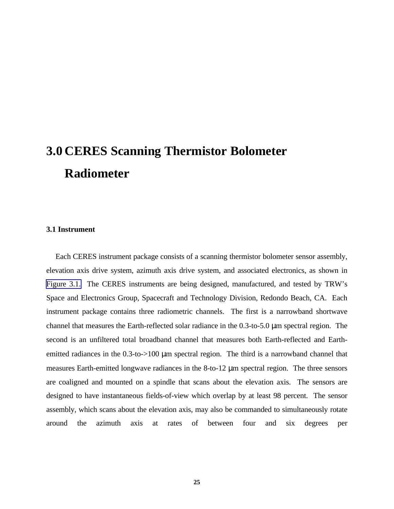# **3.0 CERES Scanning Thermistor Bolometer Radiometer**

# **3.1 Instrument**

Each CERES instrument package consists of a scanning thermistor bolometer sensor assembly, elevation axis drive system, azimuth axis drive system, and associated electronics, as shown in [Figure 3.1.](#page-8-0) The CERES instruments are being designed, manufactured, and tested by TRW's Space and Electronics Group, Spacecraft and Technology Division, Redondo Beach, CA. Each instrument package contains three radiometric channels. The first is a narrowband shortwave channel that measures the Earth-reflected solar radiance in the 0.3-to-5.0 μm spectral region. The second is an unfiltered total broadband channel that measures both Earth-reflected and Earthemitted radiances in the 0.3-to->100 μm spectral region. The third is a narrowband channel that measures Earth-emitted longwave radiances in the 8-to-12 μm spectral region. The three sensors are coaligned and mounted on a spindle that scans about the elevation axis. The sensors are designed to have instantaneous fields-of-view which overlap by at least 98 percent. The sensor assembly, which scans about the elevation axis, may also be commanded to simultaneously rotate around the azimuth axis at rates of between four and six degrees per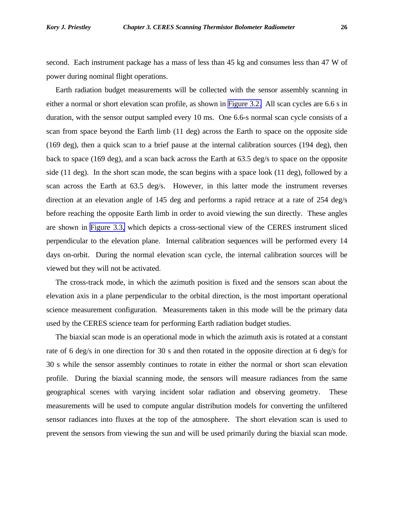second. Each instrument package has a mass of less than 45 kg and consumes less than 47 W of power during nominal flight operations.

Earth radiation budget measurements will be collected with the sensor assembly scanning in either a normal or short elevation scan profile, as shown in [Figure 3.2.](#page-9-0) All scan cycles are 6.6 s in duration, with the sensor output sampled every 10 ms. One 6.6-s normal scan cycle consists of a scan from space beyond the Earth limb (11 deg) across the Earth to space on the opposite side (169 deg), then a quick scan to a brief pause at the internal calibration sources (194 deg), then back to space (169 deg), and a scan back across the Earth at 63.5 deg/s to space on the opposite side (11 deg). In the short scan mode, the scan begins with a space look (11 deg), followed by a scan across the Earth at 63.5 deg/s. However, in this latter mode the instrument reverses direction at an elevation angle of 145 deg and performs a rapid retrace at a rate of 254 deg/s before reaching the opposite Earth limb in order to avoid viewing the sun directly. These angles are shown in [Figure 3.3,](#page-10-0) which depicts a cross-sectional view of the CERES instrument sliced perpendicular to the elevation plane. Internal calibration sequences will be performed every 14 days on-orbit. During the normal elevation scan cycle, the internal calibration sources will be viewed but they will not be activated.

The cross-track mode, in which the azimuth position is fixed and the sensors scan about the elevation axis in a plane perpendicular to the orbital direction, is the most important operational science measurement configuration. Measurements taken in this mode will be the primary data used by the CERES science team for performing Earth radiation budget studies.

The biaxial scan mode is an operational mode in which the azimuth axis is rotated at a constant rate of 6 deg/s in one direction for 30 s and then rotated in the opposite direction at 6 deg/s for 30 s while the sensor assembly continues to rotate in either the normal or short scan elevation profile. During the biaxial scanning mode, the sensors will measure radiances from the same geographical scenes with varying incident solar radiation and observing geometry. These measurements will be used to compute angular distribution models for converting the unfiltered sensor radiances into fluxes at the top of the atmosphere. The short elevation scan is used to prevent the sensors from viewing the sun and will be used primarily during the biaxial scan mode.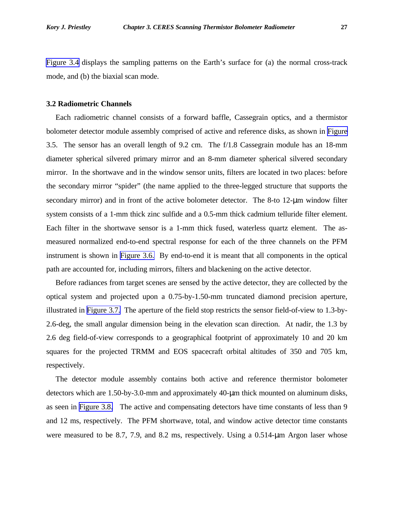<span id="page-2-0"></span>[Figure 3.4](#page-11-0) displays the sampling patterns on the Earth's surface for (a) the normal cross-track mode, and (b) the biaxial scan mode.

## **3.2 Radiometric Channels**

Each radiometric channel consists of a forward baffle, Cassegrain optics, and a thermistor bolometer detector module assembly comprised of active and reference disks, as shown in [Figure](#page-12-0) 3.5. The sensor has an overall length of 9.2 cm. The f/1.8 Cassegrain module has an 18-mm diameter spherical silvered primary mirror and an 8-mm diameter spherical silvered secondary mirror. In the shortwave and in the window sensor units, filters are located in two places: before the secondary mirror "spider" (the name applied to the three-legged structure that supports the secondary mirror) and in front of the active bolometer detector. The 8-to 12-μm window filter system consists of a 1-mm thick zinc sulfide and a 0.5-mm thick cadmium telluride filter element. Each filter in the shortwave sensor is a 1-mm thick fused, waterless quartz element. The asmeasured normalized end-to-end spectral response for each of the three channels on the PFM instrument is shown in [Figure 3.6.](#page-13-0) By end-to-end it is meant that all components in the optical path are accounted for, including mirrors, filters and blackening on the active detector.

Before radiances from target scenes are sensed by the active detector, they are collected by the optical system and projected upon a 0.75-by-1.50-mm truncated diamond precision aperture, illustrated in [Figure 3.7.](#page-14-0) The aperture of the field stop restricts the sensor field-of-view to 1.3-by-2.6-deg, the small angular dimension being in the elevation scan direction. At nadir, the 1.3 by 2.6 deg field-of-view corresponds to a geographical footprint of approximately 10 and 20 km squares for the projected TRMM and EOS spacecraft orbital altitudes of 350 and 705 km, respectively.

The detector module assembly contains both active and reference thermistor bolometer detectors which are 1.50-by-3.0-mm and approximately 40-μm thick mounted on aluminum disks, as seen in [Figure 3.8.](#page-15-0) The active and compensating detectors have time constants of less than 9 and 12 ms, respectively. The PFM shortwave, total, and window active detector time constants were measured to be 8.7, 7.9, and 8.2 ms, respectively. Using a 0.514-μm Argon laser whose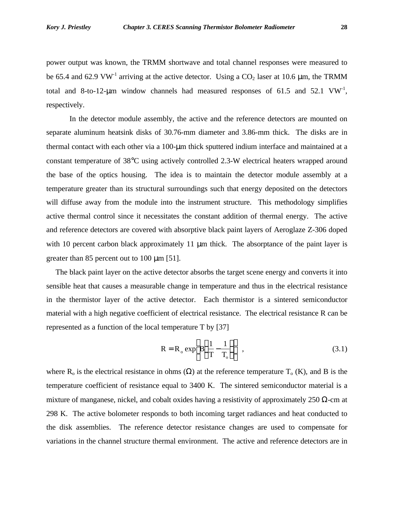<span id="page-3-0"></span>power output was known, the TRMM shortwave and total channel responses were measured to be 65.4 and 62.9 VW<sup>-1</sup> arriving at the active detector. Using a  $CO_2$  laser at 10.6 µm, the TRMM total and 8-to-12- $\mu$ m window channels had measured responses of 61.5 and 52.1 VW<sup>-1</sup>, respectively.

In the detector module assembly, the active and the reference detectors are mounted on separate aluminum heatsink disks of 30.76-mm diameter and 3.86-mm thick. The disks are in thermal contact with each other via a 100-μm thick sputtered indium interface and maintained at a constant temperature of 38°C using actively controlled 2.3-W electrical heaters wrapped around the base of the optics housing. The idea is to maintain the detector module assembly at a temperature greater than its structural surroundings such that energy deposited on the detectors will diffuse away from the module into the instrument structure. This methodology simplifies active thermal control since it necessitates the constant addition of thermal energy. The active and reference detectors are covered with absorptive black paint layers of Aeroglaze Z-306 doped with 10 percent carbon black approximately 11 μm thick. The absorptance of the paint layer is greater than 85 percent out to 100 μm [51].

The black paint layer on the active detector absorbs the target scene energy and converts it into sensible heat that causes a measurable change in temperature and thus in the electrical resistance in the thermistor layer of the active detector. Each thermistor is a sintered semiconductor material with a high negative coefficient of electrical resistance. The electrical resistance R can be represented as a function of the local temperature T by [37]

$$
R = R_o \exp\left[B\left(\frac{1}{T} - \frac{1}{T_o}\right)\right],
$$
\n(3.1)

where R<sub>o</sub> is the electrical resistance in ohms  $(\Omega)$  at the reference temperature T<sub>o</sub> (K), and B is the temperature coefficient of resistance equal to 3400 K. The sintered semiconductor material is a mixture of manganese, nickel, and cobalt oxides having a resistivity of approximately 250  $\Omega$ -cm at 298 K. The active bolometer responds to both incoming target radiances and heat conducted to the disk assemblies. The reference detector resistance changes are used to compensate for variations in the channel structure thermal environment. The active and reference detectors are in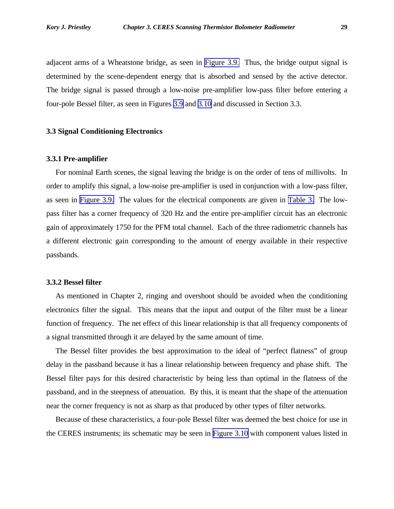adjacent arms of a Wheatstone bridge, as seen in [Figure 3.9.](#page-16-0) Thus, the bridge output signal is determined by the scene-dependent energy that is absorbed and sensed by the active detector. The bridge signal is passed through a low-noise pre-amplifier low-pass filter before entering a four-pole Bessel filter, as seen in Figures [3.9](#page-16-0) and [3.10](#page-17-0) and discussed in Section 3.3.

# **3.3 Signal Conditioning Electronics**

## **3.3.1 Pre-amplifier**

For nominal Earth scenes, the signal leaving the bridge is on the order of tens of millivolts. In order to amplify this signal, a low-noise pre-amplifier is used in conjunction with a low-pass filter, as seen in [Figure 3.9.](#page-16-0) The values for the electrical components are given in [Table 3.](#page-2-0) The lowpass filter has a corner frequency of 320 Hz and the entire pre-amplifier circuit has an electronic gain of approximately 1750 for the PFM total channel. Each of the three radiometric channels has a different electronic gain corresponding to the amount of energy available in their respective passbands.

## **3.3.2 Bessel filter**

As mentioned in Chapter 2, ringing and overshoot should be avoided when the conditioning electronics filter the signal. This means that the input and output of the filter must be a linear function of frequency. The net effect of this linear relationship is that all frequency components of a signal transmitted through it are delayed by the same amount of time.

The Bessel filter provides the best approximation to the ideal of "perfect flatness" of group delay in the passband because it has a linear relationship between frequency and phase shift. The Bessel filter pays for this desired characteristic by being less than optimal in the flatness of the passband, and in the steepness of attenuation. By this, it is meant that the shape of the attenuation near the corner frequency is not as sharp as that produced by other types of filter networks.

Because of these characteristics, a four-pole Bessel filter was deemed the best choice for use in the CERES instruments; its schematic may be seen in [Figure 3.10](#page-17-0) with component values listed in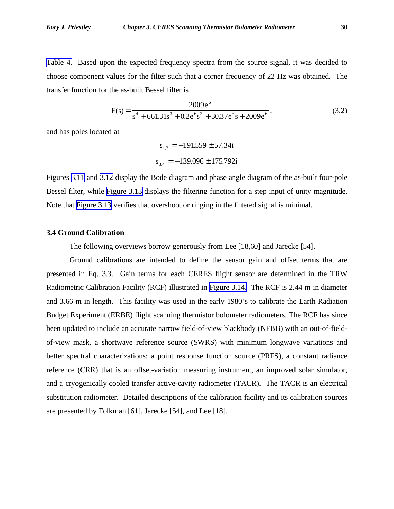[Table 4.](#page-3-0) Based upon the expected frequency spectra from the source signal, it was decided to choose component values for the filter such that a corner frequency of 22 Hz was obtained. The transfer function for the as-built Bessel filter is

$$
F(s) = \frac{2009e^{6}}{s^{4} + 661.31s^{3} + 0.2e^{6}s^{2} + 30.37e^{6}s + 2009e^{6}},
$$
\n(3.2)

and has poles located at

$$
s_{1,2} = -191559 \pm 57.34i
$$
  

$$
s_{3,4} = -139.096 \pm 175.792i
$$

Figures [3.11](#page-18-0) and [3.12](#page-19-0) display the Bode diagram and phase angle diagram of the as-built four-pole Bessel filter, while [Figure 3.13](#page-20-0) displays the filtering function for a step input of unity magnitude. Note that [Figure 3.13](#page-20-0) verifies that overshoot or ringing in the filtered signal is minimal.

# **3.4 Ground Calibration**

The following overviews borrow generously from Lee [18,60] and Jarecke [54].

Ground calibrations are intended to define the sensor gain and offset terms that are presented in Eq. 3.3. Gain terms for each CERES flight sensor are determined in the TRW Radiometric Calibration Facility (RCF) illustrated in [Figure 3.14.](#page-21-0) The RCF is 2.44 m in diameter and 3.66 m in length. This facility was used in the early 1980's to calibrate the Earth Radiation Budget Experiment (ERBE) flight scanning thermistor bolometer radiometers. The RCF has since been updated to include an accurate narrow field-of-view blackbody (NFBB) with an out-of-fieldof-view mask, a shortwave reference source (SWRS) with minimum longwave variations and better spectral characterizations; a point response function source (PRFS), a constant radiance reference (CRR) that is an offset-variation measuring instrument, an improved solar simulator, and a cryogenically cooled transfer active-cavity radiometer (TACR). The TACR is an electrical substitution radiometer. Detailed descriptions of the calibration facility and its calibration sources are presented by Folkman [61], Jarecke [54], and Lee [18].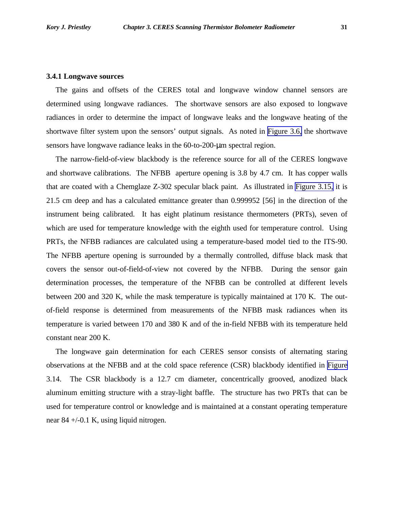#### **3.4.1 Longwave sources**

The gains and offsets of the CERES total and longwave window channel sensors are determined using longwave radiances. The shortwave sensors are also exposed to longwave radiances in order to determine the impact of longwave leaks and the longwave heating of the shortwave filter system upon the sensors' output signals. As noted in [Figure 3.6,](#page-13-0) the shortwave sensors have longwave radiance leaks in the 60-to-200-μm spectral region.

The narrow-field-of-view blackbody is the reference source for all of the CERES longwave and shortwave calibrations. The NFBB aperture opening is 3.8 by 4.7 cm. It has copper walls that are coated with a Chemglaze Z-302 specular black paint. As illustrated in [Figure 3.15,](#page-22-0) it is 21.5 cm deep and has a calculated emittance greater than 0.999952 [56] in the direction of the instrument being calibrated. It has eight platinum resistance thermometers (PRTs), seven of which are used for temperature knowledge with the eighth used for temperature control. Using PRTs, the NFBB radiances are calculated using a temperature-based model tied to the ITS-90. The NFBB aperture opening is surrounded by a thermally controlled, diffuse black mask that covers the sensor out-of-field-of-view not covered by the NFBB. During the sensor gain determination processes, the temperature of the NFBB can be controlled at different levels between 200 and 320 K, while the mask temperature is typically maintained at 170 K. The outof-field response is determined from measurements of the NFBB mask radiances when its temperature is varied between 170 and 380 K and of the in-field NFBB with its temperature held constant near 200 K.

The longwave gain determination for each CERES sensor consists of alternating staring observations at the NFBB and at the cold space reference (CSR) blackbody identified in [Figure](#page-21-0) 3.14. The CSR blackbody is a 12.7 cm diameter, concentrically grooved, anodized black aluminum emitting structure with a stray-light baffle. The structure has two PRTs that can be used for temperature control or knowledge and is maintained at a constant operating temperature near 84 +/-0.1 K, using liquid nitrogen.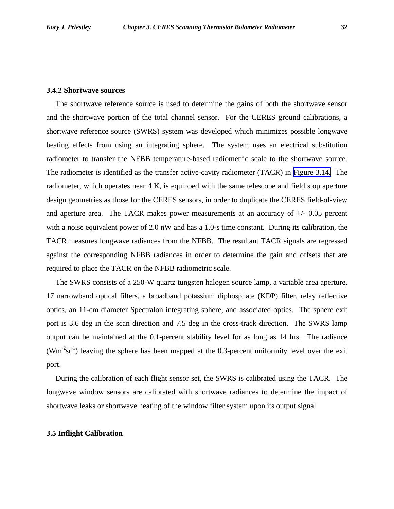The shortwave reference source is used to determine the gains of both the shortwave sensor and the shortwave portion of the total channel sensor. For the CERES ground calibrations, a shortwave reference source (SWRS) system was developed which minimizes possible longwave heating effects from using an integrating sphere. The system uses an electrical substitution radiometer to transfer the NFBB temperature-based radiometric scale to the shortwave source. The radiometer is identified as the transfer active-cavity radiometer (TACR) in [Figure 3.14.](#page-21-0) The radiometer, which operates near 4 K, is equipped with the same telescope and field stop aperture design geometries as those for the CERES sensors, in order to duplicate the CERES field-of-view and aperture area. The TACR makes power measurements at an accuracy of  $+/-0.05$  percent with a noise equivalent power of 2.0 nW and has a 1.0-s time constant. During its calibration, the TACR measures longwave radiances from the NFBB. The resultant TACR signals are regressed against the corresponding NFBB radiances in order to determine the gain and offsets that are required to place the TACR on the NFBB radiometric scale.

The SWRS consists of a 250-W quartz tungsten halogen source lamp, a variable area aperture, 17 narrowband optical filters, a broadband potassium diphosphate (KDP) filter, relay reflective optics, an 11-cm diameter Spectralon integrating sphere, and associated optics. The sphere exit port is 3.6 deg in the scan direction and 7.5 deg in the cross-track direction. The SWRS lamp output can be maintained at the 0.1-percent stability level for as long as 14 hrs. The radiance  $(Wm<sup>-2</sup>sr<sup>-1</sup>)$  leaving the sphere has been mapped at the 0.3-percent uniformity level over the exit port.

During the calibration of each flight sensor set, the SWRS is calibrated using the TACR. The longwave window sensors are calibrated with shortwave radiances to determine the impact of shortwave leaks or shortwave heating of the window filter system upon its output signal.

#### **3.5 Inflight Calibration**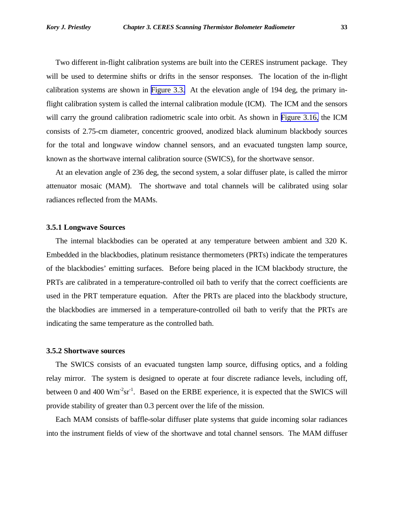<span id="page-8-0"></span>Two different in-flight calibration systems are built into the CERES instrument package. They will be used to determine shifts or drifts in the sensor responses. The location of the in-flight calibration systems are shown in [Figure 3.3.](#page-10-0) At the elevation angle of 194 deg, the primary inflight calibration system is called the internal calibration module (ICM). The ICM and the sensors will carry the ground calibration radiometric scale into orbit. As shown in [Figure 3.16,](#page-23-0) the ICM consists of 2.75-cm diameter, concentric grooved, anodized black aluminum blackbody sources for the total and longwave window channel sensors, and an evacuated tungsten lamp source, known as the shortwave internal calibration source (SWICS), for the shortwave sensor.

At an elevation angle of 236 deg, the second system, a solar diffuser plate, is called the mirror attenuator mosaic (MAM). The shortwave and total channels will be calibrated using solar radiances reflected from the MAMs.

## **3.5.1 Longwave Sources**

The internal blackbodies can be operated at any temperature between ambient and 320 K. Embedded in the blackbodies, platinum resistance thermometers (PRTs) indicate the temperatures of the blackbodies' emitting surfaces. Before being placed in the ICM blackbody structure, the PRTs are calibrated in a temperature-controlled oil bath to verify that the correct coefficients are used in the PRT temperature equation. After the PRTs are placed into the blackbody structure, the blackbodies are immersed in a temperature-controlled oil bath to verify that the PRTs are indicating the same temperature as the controlled bath.

### **3.5.2 Shortwave sources**

The SWICS consists of an evacuated tungsten lamp source, diffusing optics, and a folding relay mirror. The system is designed to operate at four discrete radiance levels, including off, between 0 and 400  $\text{Wm}^2 \text{sr}^1$ . Based on the ERBE experience, it is expected that the SWICS will provide stability of greater than 0.3 percent over the life of the mission.

Each MAM consists of baffle-solar diffuser plate systems that guide incoming solar radiances into the instrument fields of view of the shortwave and total channel sensors. The MAM diffuser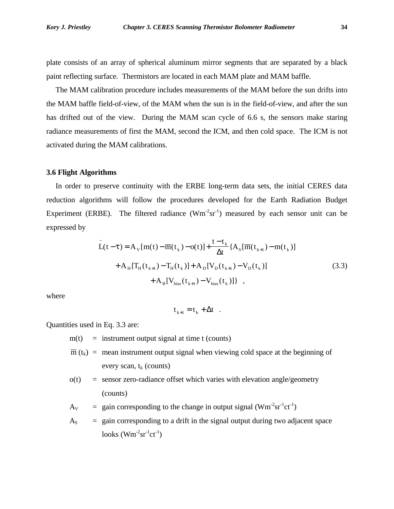<span id="page-9-0"></span>plate consists of an array of spherical aluminum mirror segments that are separated by a black paint reflecting surface. Thermistors are located in each MAM plate and MAM baffle.

The MAM calibration procedure includes measurements of the MAM before the sun drifts into the MAM baffle field-of-view, of the MAM when the sun is in the field-of-view, and after the sun has drifted out of the view. During the MAM scan cycle of 6.6 s, the sensors make staring radiance measurements of first the MAM, second the ICM, and then cold space. The ICM is not activated during the MAM calibrations.

### **3.6 Flight Algorithms**

In order to preserve continuity with the ERBE long-term data sets, the initial CERES data reduction algorithms will follow the procedures developed for the Earth Radiation Budget Experiment (ERBE). The filtered radiance  $(Wm^2sr^{-1})$  measured by each sensor unit can be expressed by

$$
\tilde{L}(t-t) = A_{v}[m(t) - \overline{m}(t_{k}) - o(t)] + \frac{t - t_{k}}{\Delta t} \{A_{s}[\overline{m}(t_{k+1}) - m(t_{k})] + A_{H}[T_{H}(t_{k+1}) - T_{H}(t_{k})] + A_{D}[V_{D}(t_{k+1}) - V_{D}(t_{k})] + A_{B}[V_{bias}(t_{k+1}) - V_{bias}(t_{k})]\},
$$
\n(3.3)

where

 $t_{k+1} = t_k + \Delta t$ .

Quantities used in Eq. 3.3 are:

 $m(t)$  = instrument output signal at time t (counts)

 $\overline{m}(t_k)$  = mean instrument output signal when viewing cold space at the beginning of every scan,  $t_k$  (counts)

 $o(t)$  = sensor zero-radiance offset which varies with elevation angle/geometry (counts)

 $A_V$  = gain corresponding to the change in output signal ( $Wm<sup>-2</sup>sr<sup>-1</sup>ct<sup>-1</sup>$ )

 $A<sub>S</sub>$  = gain corresponding to a drift in the signal output during two adjacent space  $\text{looks (Wm}^2 \text{sr}^1 \text{ct}^1)$